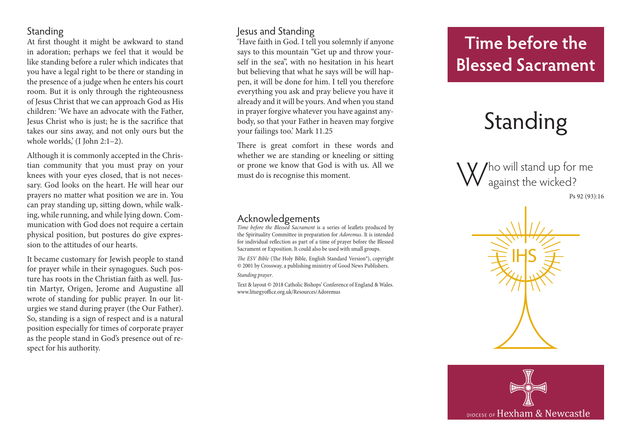### Standing

At first thought it might be awkward to stand in adoration; perhaps we feel that it would be like standing before a ruler which indicates that you have a legal right to be there or standing in the presence of a judge when he enters his court room. But it is only through the righteousness of Jesus Christ that we can approach God as His children: 'We have an advocate with the Father, Jesus Christ who is just; he is the sacrifice that takes our sins away, and not only ours but the whole worlds,' (I John 2:1-2).

Although it is commonly accepted in the Chris tian community that you must pray on your knees with your eyes closed, that is not neces sary. God looks on the heart. He will hear our prayers no matter what position we are in. You can pray standing up, sitting down, while walk ing, while running, and while lying down. Com munication with God does not require a certain physical position, but postures do give expres sion to the attitudes of our hearts.

It became customary for Jewish people to stand for prayer while in their synagogues. Such pos ture has roots in the Christian faith as well. Jus tin Martyr, Origen, Jerome and Augustine all wrote of standing for public prayer. In our lit urgies we stand during prayer (the Our Father). So, standing is a sign of respect and is a natural position especially for times of corporate prayer as the people stand in God's presence out of re spect for his authority.

### Jesus and Standing

'Have faith in God. I tell you solemnly if anyone says to this mountain "Get up and throw your self in the sea", with no hesitation in his heart but believing that what he says will be will hap pen, it will be done for him. I tell you therefore everything you ask and pray believe you have it already and it will be yours. And when you stand in prayer forgive whatever you have against any body, so that your Father in heaven may forgive your failings too.' Mark 11.25

There is great comfort in these words and whether we are standing or kneeling or sitting or prone we know that God is with us. All we must do is recognise this moment.

### Acknowledgements

*Time before the Blessed Sacrament* is a series of leaflets produced by the Spirituality Committee in preparation for *Adoremus*. It is intended for individual reflection as part of a time of prayer before the Blessed Sacrament or Exposition. It could also be used with small groups.

*The ESV Bible* (The Holy Bible, English Standard Version®), copyright © 2001 by Crossway, a publishing ministry of Good News Publishers. *Standing prayer* .

Text & layout © 2018 Catholic Bishops' Conference of England & Wales. www.liturgyoffice.org.uk/Resources/Adoremus

# **Time before the Blessed Sacrament**

# Standing

Who will stand up for me against the wicked? Ps 92 (93):16